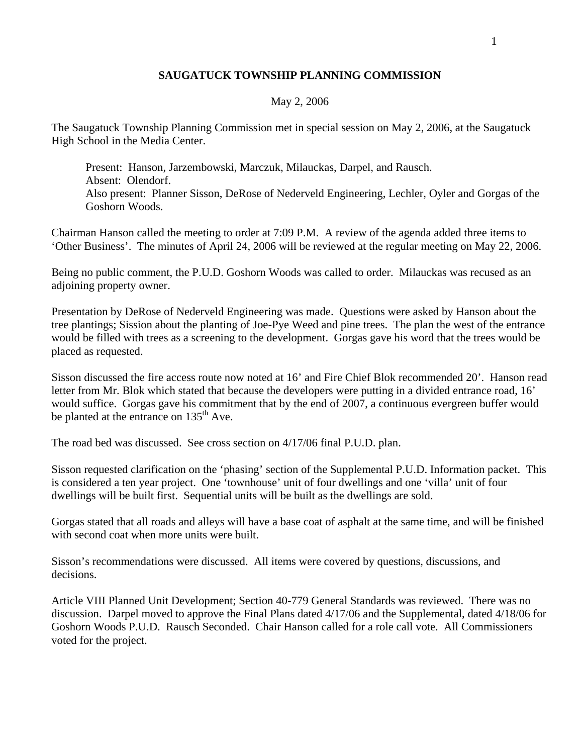## **SAUGATUCK TOWNSHIP PLANNING COMMISSION**

## May 2, 2006

The Saugatuck Township Planning Commission met in special session on May 2, 2006, at the Saugatuck High School in the Media Center.

 Present: Hanson, Jarzembowski, Marczuk, Milauckas, Darpel, and Rausch. Absent: Olendorf. Also present: Planner Sisson, DeRose of Nederveld Engineering, Lechler, Oyler and Gorgas of the Goshorn Woods.

Chairman Hanson called the meeting to order at 7:09 P.M. A review of the agenda added three items to 'Other Business'. The minutes of April 24, 2006 will be reviewed at the regular meeting on May 22, 2006.

Being no public comment, the P.U.D. Goshorn Woods was called to order. Milauckas was recused as an adjoining property owner.

Presentation by DeRose of Nederveld Engineering was made. Questions were asked by Hanson about the tree plantings; Sission about the planting of Joe-Pye Weed and pine trees. The plan the west of the entrance would be filled with trees as a screening to the development. Gorgas gave his word that the trees would be placed as requested.

Sisson discussed the fire access route now noted at 16' and Fire Chief Blok recommended 20'. Hanson read letter from Mr. Blok which stated that because the developers were putting in a divided entrance road, 16' would suffice. Gorgas gave his commitment that by the end of 2007, a continuous evergreen buffer would be planted at the entrance on  $135<sup>th</sup>$  Ave.

The road bed was discussed. See cross section on 4/17/06 final P.U.D. plan.

Sisson requested clarification on the 'phasing' section of the Supplemental P.U.D. Information packet. This is considered a ten year project. One 'townhouse' unit of four dwellings and one 'villa' unit of four dwellings will be built first. Sequential units will be built as the dwellings are sold.

Gorgas stated that all roads and alleys will have a base coat of asphalt at the same time, and will be finished with second coat when more units were built.

Sisson's recommendations were discussed. All items were covered by questions, discussions, and decisions.

Article VIII Planned Unit Development; Section 40-779 General Standards was reviewed. There was no discussion. Darpel moved to approve the Final Plans dated 4/17/06 and the Supplemental, dated 4/18/06 for Goshorn Woods P.U.D. Rausch Seconded. Chair Hanson called for a role call vote. All Commissioners voted for the project.